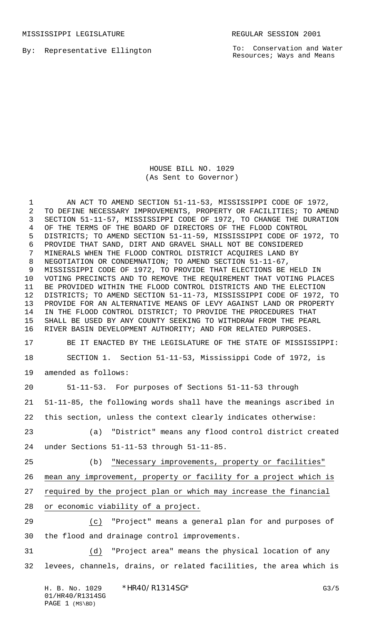MISSISSIPPI LEGISLATURE **REGULAR SESSION 2001** 

By: Representative Ellington

To: Conservation and Water Resources; Ways and Means

HOUSE BILL NO. 1029 (As Sent to Governor)

1 AN ACT TO AMEND SECTION 51-11-53, MISSISSIPPI CODE OF 1972, TO DEFINE NECESSARY IMPROVEMENTS, PROPERTY OR FACILITIES; TO AMEND SECTION 51-11-57, MISSISSIPPI CODE OF 1972, TO CHANGE THE DURATION OF THE TERMS OF THE BOARD OF DIRECTORS OF THE FLOOD CONTROL DISTRICTS; TO AMEND SECTION 51-11-59, MISSISSIPPI CODE OF 1972, TO PROVIDE THAT SAND, DIRT AND GRAVEL SHALL NOT BE CONSIDERED MINERALS WHEN THE FLOOD CONTROL DISTRICT ACQUIRES LAND BY NEGOTIATION OR CONDEMNATION; TO AMEND SECTION 51-11-67, MISSISSIPPI CODE OF 1972, TO PROVIDE THAT ELECTIONS BE HELD IN VOTING PRECINCTS AND TO REMOVE THE REQUIREMENT THAT VOTING PLACES BE PROVIDED WITHIN THE FLOOD CONTROL DISTRICTS AND THE ELECTION DISTRICTS; TO AMEND SECTION 51-11-73, MISSISSIPPI CODE OF 1972, TO PROVIDE FOR AN ALTERNATIVE MEANS OF LEVY AGAINST LAND OR PROPERTY IN THE FLOOD CONTROL DISTRICT; TO PROVIDE THE PROCEDURES THAT SHALL BE USED BY ANY COUNTY SEEKING TO WITHDRAW FROM THE PEARL RIVER BASIN DEVELOPMENT AUTHORITY; AND FOR RELATED PURPOSES. BE IT ENACTED BY THE LEGISLATURE OF THE STATE OF MISSISSIPPI: SECTION 1. Section 51-11-53, Mississippi Code of 1972, is amended as follows: 51-11-53. For purposes of Sections 51-11-53 through 51-11-85, the following words shall have the meanings ascribed in this section, unless the context clearly indicates otherwise: (a) "District" means any flood control district created under Sections 51-11-53 through 51-11-85. (b) "Necessary improvements, property or facilities" mean any improvement, property or facility for a project which is required by the project plan or which may increase the financial or economic viability of a project. (c) "Project" means a general plan for and purposes of the flood and drainage control improvements.

 (d) "Project area" means the physical location of any levees, channels, drains, or related facilities, the area which is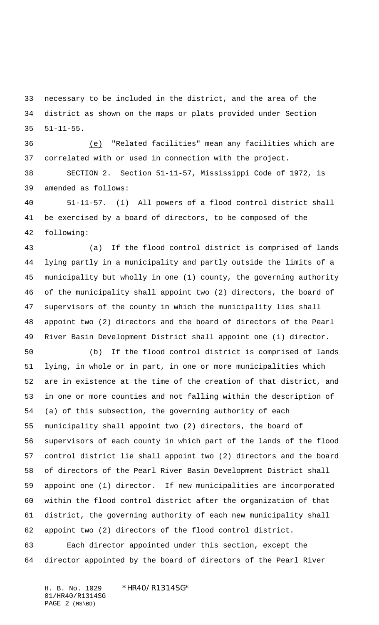necessary to be included in the district, and the area of the district as shown on the maps or plats provided under Section 51-11-55.

 (e) "Related facilities" mean any facilities which are correlated with or used in connection with the project.

 SECTION 2. Section 51-11-57, Mississippi Code of 1972, is amended as follows:

 51-11-57. (1) All powers of a flood control district shall be exercised by a board of directors, to be composed of the following:

 (a) If the flood control district is comprised of lands lying partly in a municipality and partly outside the limits of a municipality but wholly in one (1) county, the governing authority of the municipality shall appoint two (2) directors, the board of supervisors of the county in which the municipality lies shall appoint two (2) directors and the board of directors of the Pearl River Basin Development District shall appoint one (1) director.

 (b) If the flood control district is comprised of lands lying, in whole or in part, in one or more municipalities which are in existence at the time of the creation of that district, and in one or more counties and not falling within the description of (a) of this subsection, the governing authority of each municipality shall appoint two (2) directors, the board of supervisors of each county in which part of the lands of the flood control district lie shall appoint two (2) directors and the board of directors of the Pearl River Basin Development District shall appoint one (1) director. If new municipalities are incorporated within the flood control district after the organization of that district, the governing authority of each new municipality shall appoint two (2) directors of the flood control district. Each director appointed under this section, except the

director appointed by the board of directors of the Pearl River

H. B. No. 1029 \*HR40/R1314SG\* 01/HR40/R1314SG PAGE 2 (MS\BD)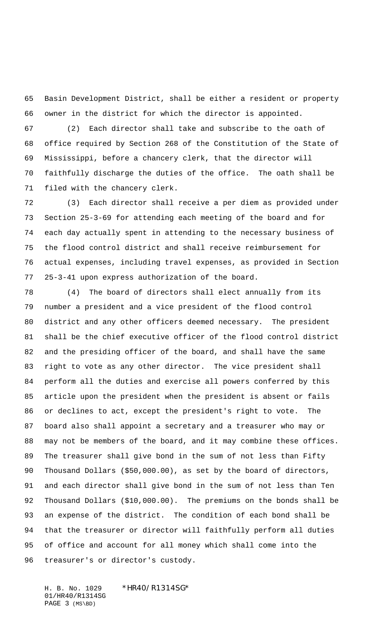Basin Development District, shall be either a resident or property owner in the district for which the director is appointed.

 (2) Each director shall take and subscribe to the oath of office required by Section 268 of the Constitution of the State of Mississippi, before a chancery clerk, that the director will faithfully discharge the duties of the office. The oath shall be filed with the chancery clerk.

 (3) Each director shall receive a per diem as provided under Section 25-3-69 for attending each meeting of the board and for each day actually spent in attending to the necessary business of the flood control district and shall receive reimbursement for actual expenses, including travel expenses, as provided in Section 25-3-41 upon express authorization of the board.

 (4) The board of directors shall elect annually from its number a president and a vice president of the flood control district and any other officers deemed necessary. The president shall be the chief executive officer of the flood control district and the presiding officer of the board, and shall have the same right to vote as any other director. The vice president shall perform all the duties and exercise all powers conferred by this article upon the president when the president is absent or fails or declines to act, except the president's right to vote. The board also shall appoint a secretary and a treasurer who may or may not be members of the board, and it may combine these offices. The treasurer shall give bond in the sum of not less than Fifty Thousand Dollars (\$50,000.00), as set by the board of directors, and each director shall give bond in the sum of not less than Ten Thousand Dollars (\$10,000.00). The premiums on the bonds shall be an expense of the district. The condition of each bond shall be that the treasurer or director will faithfully perform all duties of office and account for all money which shall come into the treasurer's or director's custody.

H. B. No. 1029 \*HR40/R1314SG\* 01/HR40/R1314SG PAGE 3 (MS\BD)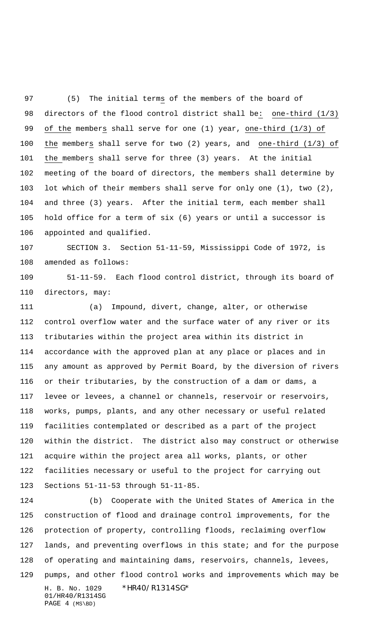(5) The initial terms of the members of the board of directors of the flood control district shall be: one-third (1/3) of the members shall serve for one (1) year, one-third (1/3) of the members shall serve for two (2) years, and one-third (1/3) of the members shall serve for three (3) years. At the initial meeting of the board of directors, the members shall determine by lot which of their members shall serve for only one (1), two (2), and three (3) years. After the initial term, each member shall hold office for a term of six (6) years or until a successor is appointed and qualified.

 SECTION 3. Section 51-11-59, Mississippi Code of 1972, is amended as follows:

 51-11-59. Each flood control district, through its board of directors, may:

 (a) Impound, divert, change, alter, or otherwise control overflow water and the surface water of any river or its tributaries within the project area within its district in accordance with the approved plan at any place or places and in any amount as approved by Permit Board, by the diversion of rivers or their tributaries, by the construction of a dam or dams, a levee or levees, a channel or channels, reservoir or reservoirs, works, pumps, plants, and any other necessary or useful related facilities contemplated or described as a part of the project within the district. The district also may construct or otherwise acquire within the project area all works, plants, or other facilities necessary or useful to the project for carrying out Sections 51-11-53 through 51-11-85.

H. B. No. 1029 \*HR40/R1314SG\* 01/HR40/R1314SG PAGE 4 (MS\BD) (b) Cooperate with the United States of America in the construction of flood and drainage control improvements, for the protection of property, controlling floods, reclaiming overflow lands, and preventing overflows in this state; and for the purpose of operating and maintaining dams, reservoirs, channels, levees, pumps, and other flood control works and improvements which may be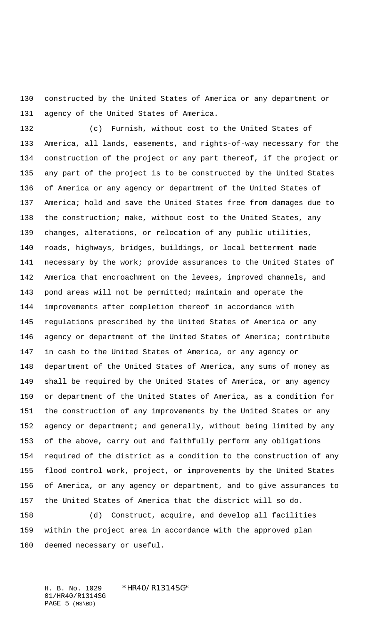constructed by the United States of America or any department or agency of the United States of America.

 (c) Furnish, without cost to the United States of America, all lands, easements, and rights-of-way necessary for the construction of the project or any part thereof, if the project or any part of the project is to be constructed by the United States of America or any agency or department of the United States of 137 America; hold and save the United States free from damages due to the construction; make, without cost to the United States, any changes, alterations, or relocation of any public utilities, roads, highways, bridges, buildings, or local betterment made 141 necessary by the work; provide assurances to the United States of America that encroachment on the levees, improved channels, and pond areas will not be permitted; maintain and operate the improvements after completion thereof in accordance with regulations prescribed by the United States of America or any agency or department of the United States of America; contribute in cash to the United States of America, or any agency or department of the United States of America, any sums of money as shall be required by the United States of America, or any agency or department of the United States of America, as a condition for the construction of any improvements by the United States or any agency or department; and generally, without being limited by any of the above, carry out and faithfully perform any obligations required of the district as a condition to the construction of any flood control work, project, or improvements by the United States of America, or any agency or department, and to give assurances to the United States of America that the district will so do.

 (d) Construct, acquire, and develop all facilities within the project area in accordance with the approved plan deemed necessary or useful.

H. B. No. 1029 \* HR40/R1314SG\* 01/HR40/R1314SG PAGE 5 (MS\BD)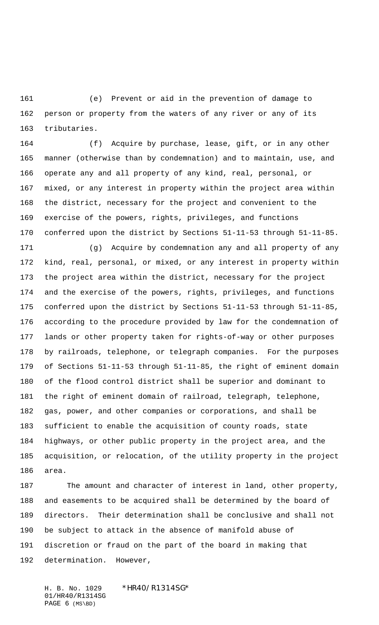(e) Prevent or aid in the prevention of damage to person or property from the waters of any river or any of its tributaries.

 (f) Acquire by purchase, lease, gift, or in any other manner (otherwise than by condemnation) and to maintain, use, and operate any and all property of any kind, real, personal, or mixed, or any interest in property within the project area within the district, necessary for the project and convenient to the exercise of the powers, rights, privileges, and functions conferred upon the district by Sections 51-11-53 through 51-11-85.

 (g) Acquire by condemnation any and all property of any kind, real, personal, or mixed, or any interest in property within the project area within the district, necessary for the project and the exercise of the powers, rights, privileges, and functions conferred upon the district by Sections 51-11-53 through 51-11-85, according to the procedure provided by law for the condemnation of lands or other property taken for rights-of-way or other purposes by railroads, telephone, or telegraph companies. For the purposes of Sections 51-11-53 through 51-11-85, the right of eminent domain of the flood control district shall be superior and dominant to the right of eminent domain of railroad, telegraph, telephone, gas, power, and other companies or corporations, and shall be sufficient to enable the acquisition of county roads, state highways, or other public property in the project area, and the acquisition, or relocation, of the utility property in the project area.

 The amount and character of interest in land, other property, and easements to be acquired shall be determined by the board of directors. Their determination shall be conclusive and shall not be subject to attack in the absence of manifold abuse of discretion or fraud on the part of the board in making that determination. However,

H. B. No. 1029 \*HR40/R1314SG\* 01/HR40/R1314SG PAGE (MS\BD)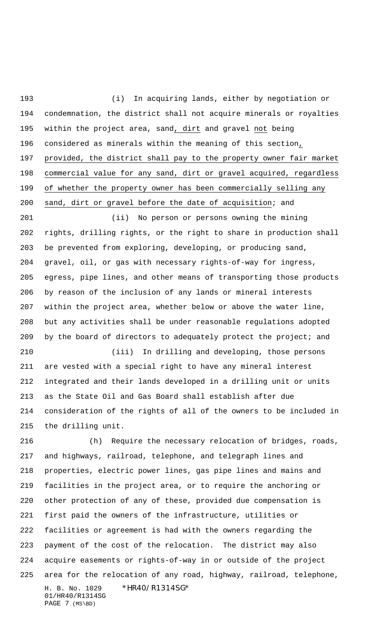(i) In acquiring lands, either by negotiation or condemnation, the district shall not acquire minerals or royalties within the project area, sand, dirt and gravel not being considered as minerals within the meaning of this section, provided, the district shall pay to the property owner fair market commercial value for any sand, dirt or gravel acquired, regardless of whether the property owner has been commercially selling any sand, dirt or gravel before the date of acquisition; and

 (ii) No person or persons owning the mining rights, drilling rights, or the right to share in production shall be prevented from exploring, developing, or producing sand, gravel, oil, or gas with necessary rights-of-way for ingress, egress, pipe lines, and other means of transporting those products by reason of the inclusion of any lands or mineral interests within the project area, whether below or above the water line, but any activities shall be under reasonable regulations adopted by the board of directors to adequately protect the project; and

 (iii) In drilling and developing, those persons are vested with a special right to have any mineral interest integrated and their lands developed in a drilling unit or units as the State Oil and Gas Board shall establish after due consideration of the rights of all of the owners to be included in the drilling unit.

H. B. No. 1029 \*HR40/R1314SG\* 01/HR40/R1314SG PAGE 7 (MS\BD) (h) Require the necessary relocation of bridges, roads, and highways, railroad, telephone, and telegraph lines and properties, electric power lines, gas pipe lines and mains and facilities in the project area, or to require the anchoring or other protection of any of these, provided due compensation is first paid the owners of the infrastructure, utilities or facilities or agreement is had with the owners regarding the payment of the cost of the relocation. The district may also acquire easements or rights-of-way in or outside of the project area for the relocation of any road, highway, railroad, telephone,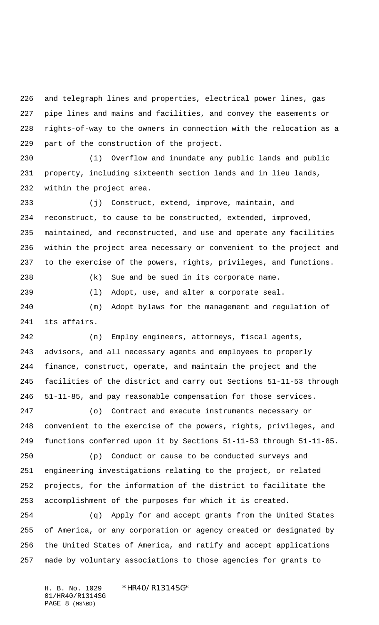and telegraph lines and properties, electrical power lines, gas pipe lines and mains and facilities, and convey the easements or rights-of-way to the owners in connection with the relocation as a part of the construction of the project.

 (i) Overflow and inundate any public lands and public property, including sixteenth section lands and in lieu lands, within the project area.

 (j) Construct, extend, improve, maintain, and reconstruct, to cause to be constructed, extended, improved, maintained, and reconstructed, and use and operate any facilities within the project area necessary or convenient to the project and to the exercise of the powers, rights, privileges, and functions.

(k) Sue and be sued in its corporate name.

 (m) Adopt bylaws for the management and regulation of its affairs.

(l) Adopt, use, and alter a corporate seal.

 (n) Employ engineers, attorneys, fiscal agents, advisors, and all necessary agents and employees to properly finance, construct, operate, and maintain the project and the facilities of the district and carry out Sections 51-11-53 through 51-11-85, and pay reasonable compensation for those services.

 (o) Contract and execute instruments necessary or convenient to the exercise of the powers, rights, privileges, and functions conferred upon it by Sections 51-11-53 through 51-11-85.

 (p) Conduct or cause to be conducted surveys and engineering investigations relating to the project, or related projects, for the information of the district to facilitate the accomplishment of the purposes for which it is created.

 (q) Apply for and accept grants from the United States of America, or any corporation or agency created or designated by the United States of America, and ratify and accept applications made by voluntary associations to those agencies for grants to

H. B. No. 1029 \*HR40/R1314SG\* 01/HR40/R1314SG PAGE 8 (MS\BD)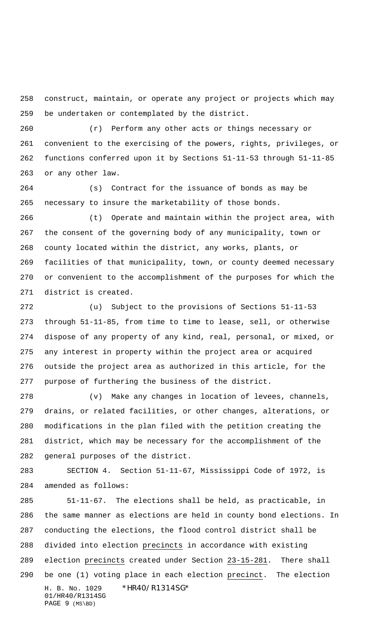construct, maintain, or operate any project or projects which may be undertaken or contemplated by the district.

 (r) Perform any other acts or things necessary or convenient to the exercising of the powers, rights, privileges, or functions conferred upon it by Sections 51-11-53 through 51-11-85 or any other law.

 (s) Contract for the issuance of bonds as may be necessary to insure the marketability of those bonds.

 (t) Operate and maintain within the project area, with the consent of the governing body of any municipality, town or county located within the district, any works, plants, or facilities of that municipality, town, or county deemed necessary or convenient to the accomplishment of the purposes for which the district is created.

 (u) Subject to the provisions of Sections 51-11-53 through 51-11-85, from time to time to lease, sell, or otherwise dispose of any property of any kind, real, personal, or mixed, or any interest in property within the project area or acquired outside the project area as authorized in this article, for the purpose of furthering the business of the district.

 (v) Make any changes in location of levees, channels, drains, or related facilities, or other changes, alterations, or modifications in the plan filed with the petition creating the district, which may be necessary for the accomplishment of the general purposes of the district.

 SECTION 4. Section 51-11-67, Mississippi Code of 1972, is amended as follows:

H. B. No. 1029 \*HR40/R1314SG\* 01/HR40/R1314SG PAGE 9 (MS\BD) 51-11-67. The elections shall be held, as practicable, in the same manner as elections are held in county bond elections. In conducting the elections, the flood control district shall be divided into election precincts in accordance with existing election precincts created under Section 23-15-281. There shall be one (1) voting place in each election precinct. The election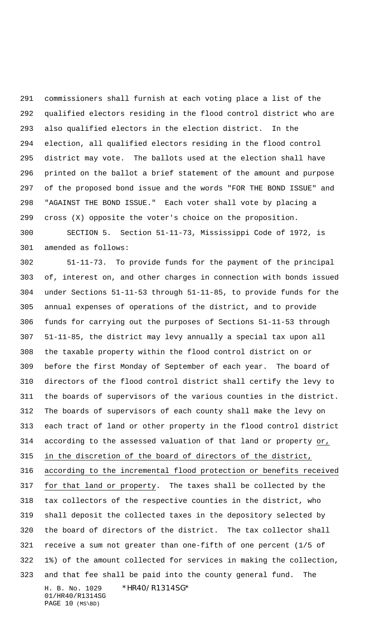commissioners shall furnish at each voting place a list of the qualified electors residing in the flood control district who are also qualified electors in the election district. In the election, all qualified electors residing in the flood control district may vote. The ballots used at the election shall have printed on the ballot a brief statement of the amount and purpose of the proposed bond issue and the words "FOR THE BOND ISSUE" and "AGAINST THE BOND ISSUE." Each voter shall vote by placing a cross (X) opposite the voter's choice on the proposition.

 SECTION 5. Section 51-11-73, Mississippi Code of 1972, is amended as follows:

H. B. No. 1029 \*HR40/R1314SG\* 01/HR40/R1314SG PAGE 10 (MS\BD) 51-11-73. To provide funds for the payment of the principal of, interest on, and other charges in connection with bonds issued under Sections 51-11-53 through 51-11-85, to provide funds for the annual expenses of operations of the district, and to provide funds for carrying out the purposes of Sections 51-11-53 through 51-11-85, the district may levy annually a special tax upon all the taxable property within the flood control district on or before the first Monday of September of each year. The board of directors of the flood control district shall certify the levy to the boards of supervisors of the various counties in the district. The boards of supervisors of each county shall make the levy on each tract of land or other property in the flood control district according to the assessed valuation of that land or property or, in the discretion of the board of directors of the district, according to the incremental flood protection or benefits received for that land or property. The taxes shall be collected by the tax collectors of the respective counties in the district, who shall deposit the collected taxes in the depository selected by the board of directors of the district. The tax collector shall receive a sum not greater than one-fifth of one percent (1/5 of 1%) of the amount collected for services in making the collection, and that fee shall be paid into the county general fund. The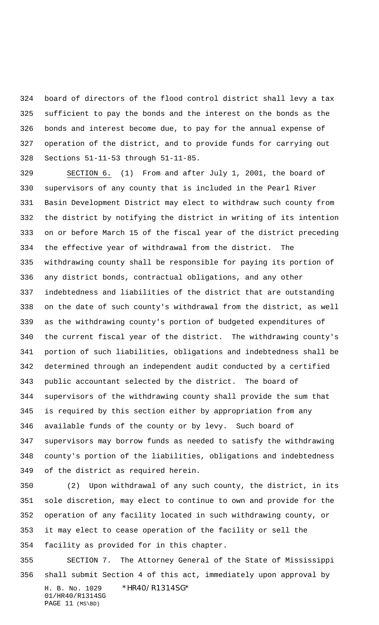board of directors of the flood control district shall levy a tax sufficient to pay the bonds and the interest on the bonds as the bonds and interest become due, to pay for the annual expense of operation of the district, and to provide funds for carrying out Sections 51-11-53 through 51-11-85.

329 SECTION 6. (1) From and after July 1, 2001, the board of supervisors of any county that is included in the Pearl River Basin Development District may elect to withdraw such county from the district by notifying the district in writing of its intention on or before March 15 of the fiscal year of the district preceding the effective year of withdrawal from the district. The withdrawing county shall be responsible for paying its portion of any district bonds, contractual obligations, and any other indebtedness and liabilities of the district that are outstanding on the date of such county's withdrawal from the district, as well as the withdrawing county's portion of budgeted expenditures of the current fiscal year of the district. The withdrawing county's portion of such liabilities, obligations and indebtedness shall be determined through an independent audit conducted by a certified public accountant selected by the district. The board of supervisors of the withdrawing county shall provide the sum that is required by this section either by appropriation from any available funds of the county or by levy. Such board of supervisors may borrow funds as needed to satisfy the withdrawing county's portion of the liabilities, obligations and indebtedness of the district as required herein.

 (2) Upon withdrawal of any such county, the district, in its sole discretion, may elect to continue to own and provide for the operation of any facility located in such withdrawing county, or it may elect to cease operation of the facility or sell the facility as provided for in this chapter.

H. B. No. 1029 \*HR40/R1314SG\* 01/HR40/R1314SG PAGE 11 (MS\BD) SECTION 7. The Attorney General of the State of Mississippi shall submit Section 4 of this act, immediately upon approval by